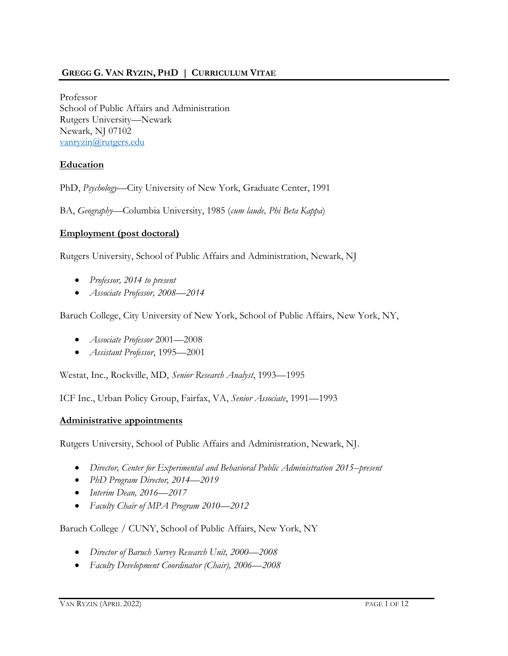## **GREGG G. VAN RYZIN, PHD | CURRICULUM VITAE**

Professor School of Public Affairs and Administration Rutgers University—Newark Newark, NJ 07102 [vanryzin@rutgers.edu](mailto:vanryzin@rutgers.edu)

#### **Education**

PhD, *Psychology*—City University of New York, Graduate Center, 1991

BA, *Geography*—Columbia University, 1985 (*cum laude, Phi Beta Kappa*)

#### **Employment (post doctoral)**

Rutgers University, School of Public Affairs and Administration, Newark, NJ

- *Professor, 2014 to present*
- *Associate Professor, 2008—2014*

Baruch College, City University of New York, School of Public Affairs, New York, NY,

- *Associate Professor* 2001—2008
- *Assistant Professor*, 1995—2001

Westat, Inc., Rockville, MD, *Senior Research Analyst*, 1993—1995

ICF Inc., Urban Policy Group, Fairfax, VA, *Senior Associate*, 1991—1993

#### **Administrative appointments**

Rutgers University, School of Public Affairs and Administration, Newark, NJ.

- *Director, Center for Experimental and Behavioral Public Administration 2015--present*
- *PhD Program Director, 2014—2019*
- *Interim Dean, 2016—2017*
- *Faculty Chair of MPA Program 2010—2012*

#### Baruch College / CUNY, School of Public Affairs, New York, NY

- *Director of Baruch Survey Research Unit, 2000—2008*
- *Faculty Development Coordinator (Chair), 2006—2008*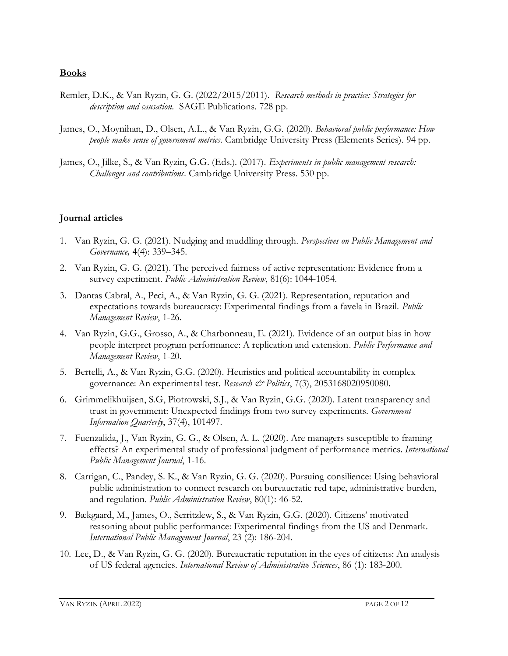#### **Books**

- Remler, D.K., & Van Ryzin, G. G. (2022/2015/2011). *Research methods in practice: Strategies for description and causation*. SAGE Publications. 728 pp.
- James, O., Moynihan, D., Olsen, A.L., & Van Ryzin, G.G. (2020). *Behavioral public performance: How people make sense of government metrics.* Cambridge University Press (Elements Series). 94 pp.
- James, O., Jilke, S., & Van Ryzin, G.G. (Eds.). (2017). *Experiments in public management research: Challenges and contributions*. Cambridge University Press. 530 pp.

#### **Journal articles**

- 1. Van Ryzin, G. G. (2021). Nudging and muddling through. *Perspectives on Public Management and Governance,* 4(4): 339–345.
- 2. Van Ryzin, G. G. (2021). The perceived fairness of active representation: Evidence from a survey experiment. *Public Administration Review*, 81(6): 1044-1054.
- 3. Dantas Cabral, A., Peci, A., & Van Ryzin, G. G. (2021). Representation, reputation and expectations towards bureaucracy: Experimental findings from a favela in Brazil. *Public Management Review*, 1-26.
- 4. Van Ryzin, G.G., Grosso, A., & Charbonneau, E. (2021). Evidence of an output bias in how people interpret program performance: A replication and extension. *Public Performance and Management Review*, 1-20.
- 5. Bertelli, A., & Van Ryzin, G.G. (2020). Heuristics and political accountability in complex governance: An experimental test. *Research & Politics*, 7(3), 2053168020950080.
- 6. Grimmelikhuijsen, S.G, Piotrowski, S.J., & Van Ryzin, G.G. (2020). Latent transparency and trust in government: Unexpected findings from two survey experiments. *Government Information Quarterly*, 37(4), 101497.
- 7. Fuenzalida, J., Van Ryzin, G. G., & Olsen, A. L. (2020). Are managers susceptible to framing effects? An experimental study of professional judgment of performance metrics. *International Public Management Journal*, 1-16.
- 8. Carrigan, C., Pandey, S. K., & Van Ryzin, G. G. (2020). Pursuing consilience: Using behavioral public administration to connect research on bureaucratic red tape, administrative burden, and regulation. *Public Administration Review*, 80(1): 46-52.
- 9. Bækgaard, M., James, O., Serritzlew, S., & Van Ryzin, G.G. (2020). Citizens' motivated reasoning about public performance: Experimental findings from the US and Denmark. *International Public Management Journal*, 23 (2): 186-204.
- 10. Lee, D., & Van Ryzin, G. G. (2020). Bureaucratic reputation in the eyes of citizens: An analysis of US federal agencies. *International Review of Administrative Sciences*, 86 (1): 183-200.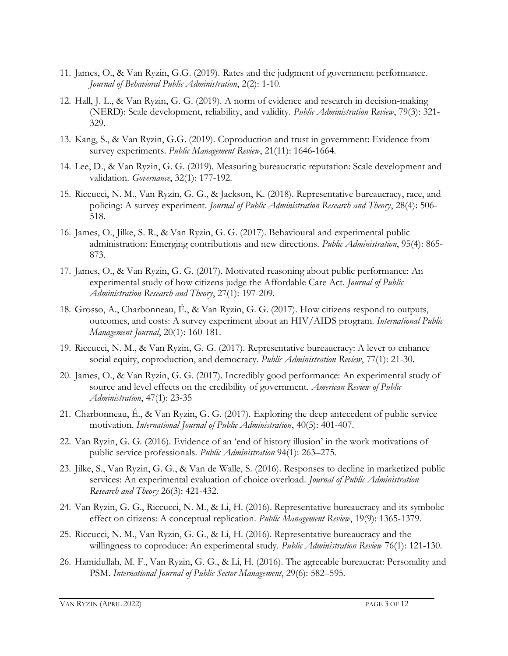- 11. James, O., & Van Ryzin, G.G. (2019). Rates and the judgment of government performance. *Journal of Behavioral Public Administration*, 2(2): 1-10.
- 12. Hall, J. L., & Van Ryzin, G. G. (2019). A norm of evidence and research in decision-making (NERD): Scale development, reliability, and validity. *Public Administration Review*, 79(3): 321- 329.
- 13. Kang, S., & Van Ryzin, G.G. (2019). Coproduction and trust in government: Evidence from survey experiments. *Public Management Review*, 21(11): 1646-1664.
- 14. Lee, D., & Van Ryzin, G. G. (2019). Measuring bureaucratic reputation: Scale development and validation*. Governance*, 32(1): 177-192.
- 15. Riccucci, N. M., Van Ryzin, G. G., & Jackson, K. (2018). Representative bureaucracy, race, and policing: A survey experiment. *Journal of Public Administration Research and Theory*, 28(4): 506- 518.
- 16. James, O., Jilke, S. R., & Van Ryzin, G. G. (2017). Behavioural and experimental public administration: Emerging contributions and new directions. *Public Administration*, 95(4): 865- 873.
- 17. James, O., & Van Ryzin, G. G. (2017). Motivated reasoning about public performance: An experimental study of how citizens judge the Affordable Care Act*. Journal of Public Administration Research and Theory*, 27(1): 197-209.
- 18. Grosso, A., Charbonneau, É., & Van Ryzin, G. G. (2017). How citizens respond to outputs, outcomes, and costs: A survey experiment about an HIV/AIDS program*. International Public Management Journal*, 20(1): 160-181.
- 19. Riccucci, N. M., & Van Ryzin, G. G. (2017). Representative bureaucracy: A lever to enhance social equity, coproduction, and democracy. *Public Administration Review*, 77(1): 21-30.
- 20. James, O., & Van Ryzin, G. G. (2017). Incredibly good performance: An experimental study of source and level effects on the credibility of government. *American Review of Public Administration*, 47(1): 23-35
- 21. Charbonneau, É., & Van Ryzin, G. G. (2017). Exploring the deep antecedent of public service motivation. *International Journal of Public Administration*, 40(5): 401-407.
- 22. Van Ryzin, G. G. (2016). Evidence of an 'end of history illusion' in the work motivations of public service professionals. *Public Administration* 94(1): 263–275.
- 23. Jilke, S., Van Ryzin, G. G., & Van de Walle, S. (2016). Responses to decline in marketized public services: An experimental evaluation of choice overload. *Journal of Public Administration Research and Theory* 26(3): 421-432.
- 24. Van Ryzin, G. G., Riccucci, N. M., & Li, H. (2016). Representative bureaucracy and its symbolic effect on citizens: A conceptual replication. *Public Management Review*, 19(9): 1365-1379.
- 25. Riccucci, N. M., Van Ryzin, G. G., & Li, H. (2016). Representative bureaucracy and the willingness to coproduce: An experimental study. *Public Administration Review* 76(1): 121-130.
- 26. Hamidullah, M. F., Van Ryzin, G. G., & Li, H. (2016). The agreeable bureaucrat: Personality and PSM. *International Journal of Public Sector Management*, 29(6): 582–595*.*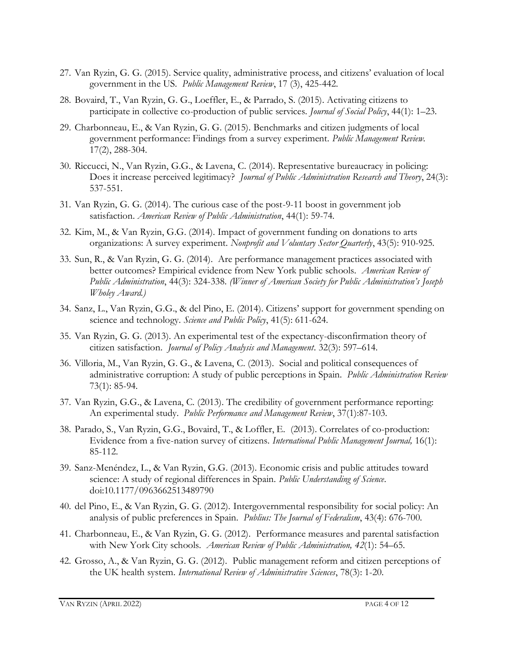- 27. Van Ryzin, G. G. (2015). Service quality, administrative process, and citizens' evaluation of local government in the US. *Public Management Review*, 17 (3), 425-442.
- 28. Bovaird, T., Van Ryzin, G. G., Loeffler, E., & Parrado, S. (2015). Activating citizens to participate in collective co-production of public services. *Journal of Social Policy*, 44(1): 1–23.
- 29. Charbonneau, E., & Van Ryzin, G. G. (2015). Benchmarks and citizen judgments of local government performance: Findings from a survey experiment. *Public Management Review.*  17(2), 288-304.
- 30. Riccucci, N., Van Ryzin, G.G., & Lavena, C. (2014). Representative bureaucracy in policing: Does it increase perceived legitimacy? *Journal of Public Administration Research and Theory*, 24(3): 537-551.
- 31. Van Ryzin, G. G. (2014). The curious case of the post-9-11 boost in government job satisfaction. *American Review of Public Administration*, 44(1): 59-74.
- 32. Kim, M., & Van Ryzin, G.G. (2014). Impact of government funding on donations to arts organizations: A survey experiment. *Nonprofit and Voluntary Sector Quarterly*, 43(5): 910-925.
- 33. Sun, R., & Van Ryzin, G. G. (2014). Are performance management practices associated with better outcomes? Empirical evidence from New York public schools. *American Review of Public Administration*, 44(3): 324-338. *(Winner of American Society for Public Administration's Joseph Wholey Award.)*
- 34. Sanz, L., Van Ryzin, G.G., & del Pino, E. (2014). Citizens' support for government spending on science and technology. *Science and Public Policy*, 41(5): 611-624.
- 35. Van Ryzin, G. G. (2013). An experimental test of the expectancy-disconfirmation theory of citizen satisfaction. *Journal of Policy Analysis and Management*. 32(3): 597–614.
- 36. Villoria, M., Van Ryzin, G. G., & Lavena, C. (2013). Social and political consequences of administrative corruption: A study of public perceptions in Spain. *Public Administration Review* 73(1): 85-94.
- 37. Van Ryzin, G.G., & Lavena, C. (2013). The credibility of government performance reporting: An experimental study. *Public Performance and Management Review*, 37(1):87-103.
- 38. Parado, S., Van Ryzin, G.G., Bovaird, T., & Loffler, E. (2013). Correlates of co-production: Evidence from a five-nation survey of citizens. *International Public Management Journal,* 16(1): 85-112.
- 39. Sanz-Menéndez, L., & Van Ryzin, G.G. (2013). Economic crisis and public attitudes toward science: A study of regional differences in Spain. *Public Understanding of Science*. doi:10.1177/0963662513489790
- 40. del Pino, E., & Van Ryzin, G. G. (2012). Intergovernmental responsibility for social policy: An analysis of public preferences in Spain. *Publius: The Journal of Federalism*, 43(4): 676-700.
- 41. Charbonneau, E., & Van Ryzin, G. G. (2012). Performance measures and parental satisfaction with New York City schools. *American Review of Public Administration, 42*(1): 54–65.
- 42. Grosso, A., & Van Ryzin, G. G. (2012). Public management reform and citizen perceptions of the UK health system. *International Review of Administrative Sciences*, 78(3): 1-20.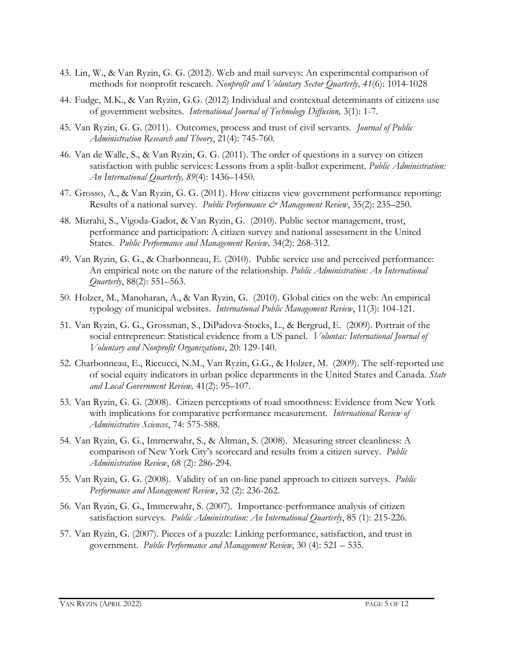- 43. Lin, W., & Van Ryzin, G. G. (2012). Web and mail surveys: An experimental comparison of methods for nonprofit research. *Nonprofit and Voluntary Sector Quarterly, 41*(6): 1014-1028
- 44. Fudge, M.K., & Van Ryzin, G.G. (2012) Individual and contextual determinants of citizens use of government websites. *International Journal of Technology Diffusion,* 3(1): 1-7.
- 45. Van Ryzin, G. G. (2011). Outcomes, process and trust of civil servants. *Journal of Public Administration Research and Theory*, 21(4): 745-760.
- 46. Van de Walle, S., & Van Ryzin, G. G. (2011). The order of questions in a survey on citizen satisfaction with public services: Lessons from a split-ballot experiment. *Public Administration: An International Quarterly, 89*(4): 1436–1450.
- 47. Grosso, A., & Van Ryzin, G. G. (2011). How citizens view government performance reporting: Results of a national survey. *Public Performance & Management Review*, 35(2): 235–250.
- 48. Mizrahi, S., Vigoda-Gadot, & Van Ryzin, G. (2010). Public sector management, trust, performance and participation: A citizen survey and national assessment in the United States. *Public Performance and Management Review,* 34(2): 268-312.
- 49. Van Ryzin, G. G., & Charbonneau, E. (2010). Public service use and perceived performance: An empirical note on the nature of the relationship. *Public Administration: An International Quarterly*, 88(2): 551–563.
- 50. Holzer, M., Manoharan, A., & Van Ryzin, G. (2010). Global cities on the web: An empirical typology of municipal websites. *International Public Management Review*, 11(3): 104-121.
- 51. Van Ryzin, G. G., Grossman, S., DiPadova-Stocks, L., & Bergrud, E. (2009). Portrait of the social entrepreneur: Statistical evidence from a US panel. *Voluntas: International Journal of Voluntary and Nonprofit Organizations*, 20: 129-140.
- 52. Charbonneau, E., Riccucci, N.M., Van Ryzin, G.G., & Holzer, M. (2009). The self-reported use of social equity indicators in urban police departments in the United States and Canada. *State and Local Government Review,* 41(2): 95–107.
- 53. Van Ryzin, G. G. (2008). Citizen perceptions of road smoothness: Evidence from New York with implications for comparative performance measurement. *International Review of Administrative Sciences*, 74: 575-588.
- 54. Van Ryzin, G. G., Immerwahr, S., & Altman, S. (2008). Measuring street cleanliness: A comparison of New York City's scorecard and results from a citizen survey. *Public Administration Review*, 68 (2): 286-294.
- 55. Van Ryzin, G. G. (2008). Validity of an on-line panel approach to citizen surveys. *Public Performance and Management Review*, 32 (2): 236-262.
- 56. Van Ryzin, G. G., Immerwahr, S. (2007). Importance-performance analysis of citizen satisfaction surveys. *Public Administration: An International Quarterly*, 85 (1): 215-226.
- 57. Van Ryzin, G. (2007). Pieces of a puzzle: Linking performance, satisfaction, and trust in government. *Public Performance and Management Review*, 30 (4): 521 – 535.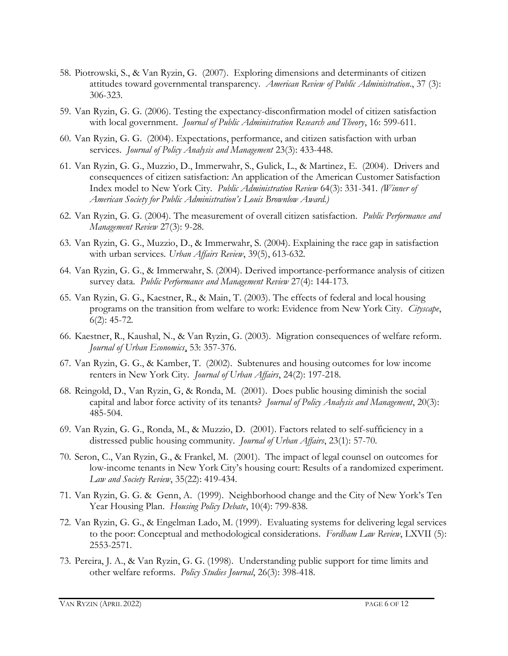- 58. Piotrowski, S., & Van Ryzin, G. (2007). Exploring dimensions and determinants of citizen attitudes toward governmental transparency. *American Review of Public Administration*., 37 (3): 306-323.
- 59. Van Ryzin, G. G. (2006). Testing the expectancy-disconfirmation model of citizen satisfaction with local government. *Journal of Public Administration Research and Theory*, 16: 599-611.
- 60. Van Ryzin, G. G. (2004). Expectations, performance, and citizen satisfaction with urban services. *Journal of Policy Analysis and Management* 23(3): 433-448.
- 61. Van Ryzin, G. G., Muzzio, D., Immerwahr, S., Gulick, L., & Martinez, E. (2004). Drivers and consequences of citizen satisfaction: An application of the American Customer Satisfaction Index model to New York City. *Public Administration Review* 64(3): 331-341. *(Winner of American Society for Public Administration's Louis Brownlow Award.)*
- 62. Van Ryzin, G. G. (2004). The measurement of overall citizen satisfaction. *Public Performance and Management Review* 27(3): 9-28.
- 63. Van Ryzin, G. G., Muzzio, D., & Immerwahr, S. (2004). Explaining the race gap in satisfaction with urban services*. Urban Affairs Review*, 39(5), 613-632.
- 64. Van Ryzin, G. G., & Immerwahr, S. (2004). Derived importance-performance analysis of citizen survey data. *Public Performance and Management Review* 27(4): 144-173.
- 65. Van Ryzin, G. G., Kaestner, R., & Main, T. (2003). The effects of federal and local housing programs on the transition from welfare to work: Evidence from New York City. *Cityscape*, 6(2): 45-72.
- 66. Kaestner, R., Kaushal, N., & Van Ryzin, G. (2003). Migration consequences of welfare reform. *Journal of Urban Economics*, 53: 357-376.
- 67. Van Ryzin, G. G., & Kamber, T. (2002). Subtenures and housing outcomes for low income renters in New York City. *Journal of Urban Affairs*, 24(2): 197-218.
- 68. Reingold, D., Van Ryzin, G, & Ronda, M. (2001). Does public housing diminish the social capital and labor force activity of its tenants? *Journal of Policy Analysis and Management*, 20(3): 485-504.
- 69. Van Ryzin, G. G., Ronda, M., & Muzzio, D. (2001). Factors related to self-sufficiency in a distressed public housing community. *Journal of Urban Affairs*, 23(1): 57-70.
- 70. Seron, C., Van Ryzin, G., & Frankel, M. (2001). The impact of legal counsel on outcomes for low-income tenants in New York City's housing court: Results of a randomized experiment. *Law and Society Review*, 35(22): 419-434.
- 71. Van Ryzin, G. G. & Genn, A. (1999). Neighborhood change and the City of New York's Ten Year Housing Plan. *Housing Policy Debate*, 10(4): 799-838.
- 72. Van Ryzin, G. G., & Engelman Lado, M. (1999). Evaluating systems for delivering legal services to the poor: Conceptual and methodological considerations. *Fordham Law Review*, LXVII (5): 2553-2571.
- 73. Pereira, J. A., & Van Ryzin, G. G. (1998). Understanding public support for time limits and other welfare reforms. *Policy Studies Journal*, 26(3): 398-418.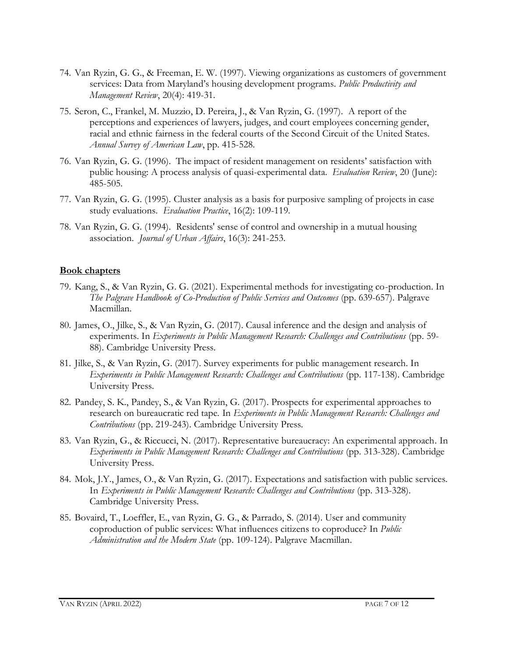- 74. Van Ryzin, G. G., & Freeman, E. W. (1997). Viewing organizations as customers of government services: Data from Maryland's housing development programs. *Public Productivity and Management Review*, 20(4): 419-31.
- 75. Seron, C., Frankel, M. Muzzio, D. Pereira, J., & Van Ryzin, G. (1997). A report of the perceptions and experiences of lawyers, judges, and court employees concerning gender, racial and ethnic fairness in the federal courts of the Second Circuit of the United States. *Annual Survey of American Law*, pp. 415-528.
- 76. Van Ryzin, G. G. (1996). The impact of resident management on residents' satisfaction with public housing: A process analysis of quasi-experimental data. *Evaluation Review*, 20 (June): 485-505.
- 77. Van Ryzin, G. G. (1995). Cluster analysis as a basis for purposive sampling of projects in case study evaluations. *Evaluation Practice*, 16(2): 109-119.
- 78. Van Ryzin, G. G. (1994). Residents' sense of control and ownership in a mutual housing association. *Journal of Urban Affairs*, 16(3): 241-253.

#### **Book chapters**

- 79. Kang, S., & Van Ryzin, G. G. (2021). Experimental methods for investigating co-production. In *The Palgrave Handbook of Co-Production of Public Services and Outcomes* (pp. 639-657). Palgrave Macmillan.
- 80. James, O., Jilke, S., & Van Ryzin, G. (2017). Causal inference and the design and analysis of experiments. In *Experiments in Public Management Research: Challenges and Contributions* (pp. 59- 88). Cambridge University Press.
- 81. Jilke, S., & Van Ryzin, G. (2017). Survey experiments for public management research. In *Experiments in Public Management Research: Challenges and Contributions* (pp. 117-138). Cambridge University Press.
- 82. Pandey, S. K., Pandey, S., & Van Ryzin, G. (2017). Prospects for experimental approaches to research on bureaucratic red tape. In *Experiments in Public Management Research: Challenges and Contributions* (pp. 219-243). Cambridge University Press.
- 83. Van Ryzin, G., & Riccucci, N. (2017). Representative bureaucracy: An experimental approach. In *Experiments in Public Management Research: Challenges and Contributions* (pp. 313-328). Cambridge University Press.
- 84. Mok, J.Y., James, O., & Van Ryzin, G. (2017). Expectations and satisfaction with public services. In *Experiments in Public Management Research: Challenges and Contributions* (pp. 313-328). Cambridge University Press.
- 85. Bovaird, T., Loeffler, E., van Ryzin, G. G., & Parrado, S. (2014). User and community coproduction of public services: What influences citizens to coproduce? In *Public Administration and the Modern State* (pp. 109-124). Palgrave Macmillan.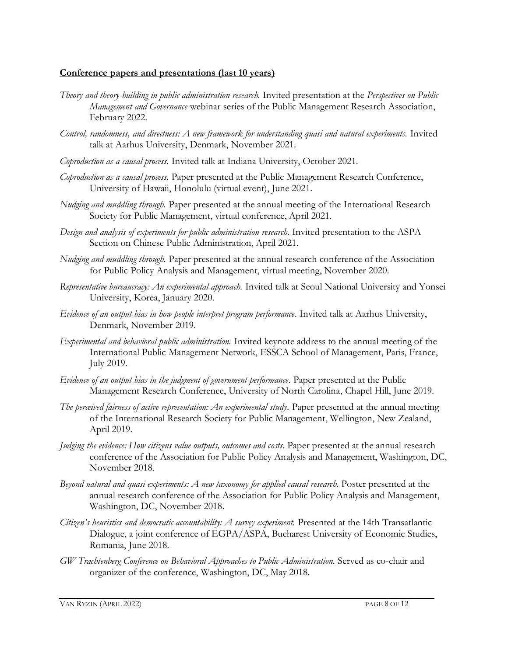#### **Conference papers and presentations (last 10 years)**

- *Theory and theory-building in public administration research.* Invited presentation at the *Perspectives on Public Management and Governance* webinar series of the Public Management Research Association, February 2022.
- *Control, randomness, and directness: A new framework for understanding quasi and natural experiments.* Invited talk at Aarhus University, Denmark, November 2021.
- *Coproduction as a causal process.* Invited talk at Indiana University, October 2021.
- *Coproduction as a causal process.* Paper presented at the Public Management Research Conference, University of Hawaii, Honolulu (virtual event), June 2021.
- *Nudging and muddling through.* Paper presented at the annual meeting of the International Research Society for Public Management, virtual conference, April 2021.
- *Design and analysis of experiments for public administration research.* Invited presentation to the ASPA Section on Chinese Public Administration, April 2021.
- *Nudging and muddling through.* Paper presented at the annual research conference of the Association for Public Policy Analysis and Management, virtual meeting, November 2020.
- *Representative bureaucracy: An experimental approach.* Invited talk at Seoul National University and Yonsei University, Korea, January 2020.
- *Evidence of an output bias in how people interpret program performance*. Invited talk at Aarhus University, Denmark, November 2019.
- *Experimental and behavioral public administration.* Invited keynote address to the annual meeting of the International Public Management Network, ESSCA School of Management, Paris, France, July 2019.
- *Evidence of an output bias in the judgment of government performance.* Paper presented at the Public Management Research Conference, University of North Carolina, Chapel Hill, June 2019.
- *The perceived fairness of active representation: An experimental study.* Paper presented at the annual meeting of the International Research Society for Public Management, Wellington, New Zealand, April 2019.
- *Judging the evidence: How citizens value outputs, outcomes and costs.* Paper presented at the annual research conference of the Association for Public Policy Analysis and Management, Washington, DC, November 2018.
- *Beyond natural and quasi experiments: A new taxonomy for applied causal research.* Poster presented at the annual research conference of the Association for Public Policy Analysis and Management, Washington, DC, November 2018.
- *Citizen's heuristics and democratic accountability: A survey experiment.* Presented at the 14th Transatlantic Dialogue, a joint conference of EGPA/ASPA, Bucharest University of Economic Studies, Romania, June 2018.
- *GW Trachtenberg Conference on Behavioral Approaches to Public Administration.* Served as co-chair and organizer of the conference, Washington, DC, May 2018.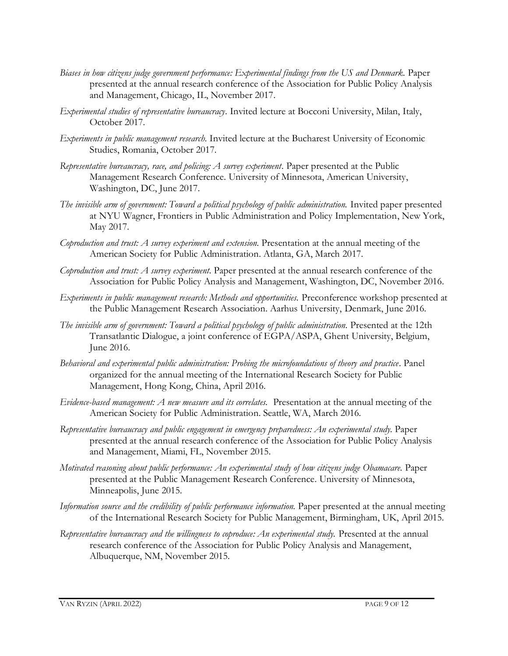- *Biases in how citizens judge government performance: Experimental findings from the US and Denmark.* Paper presented at the annual research conference of the Association for Public Policy Analysis and Management, Chicago, IL, November 2017.
- *Experimental studies of representative bureaucracy.* Invited lecture at Bocconi University, Milan, Italy, October 2017.
- *Experiments in public management research.* Invited lecture at the Bucharest University of Economic Studies, Romania, October 2017.
- *Representative bureaucracy, race, and policing: A survey experiment*. Paper presented at the Public Management Research Conference. University of Minnesota, American University, Washington, DC, June 2017.
- The invisible arm of government: Toward a political psychology of public administration. Invited paper presented at NYU Wagner, Frontiers in Public Administration and Policy Implementation, New York, May 2017.
- *Coproduction and trust: A survey experiment and extension.* Presentation at the annual meeting of the American Society for Public Administration. Atlanta, GA, March 2017.
- *Coproduction and trust: A survey experiment.* Paper presented at the annual research conference of the Association for Public Policy Analysis and Management, Washington, DC, November 2016.
- *Experiments in public management research: Methods and opportunities.* Preconference workshop presented at the Public Management Research Association. Aarhus University, Denmark, June 2016.
- *The invisible arm of government: Toward a political psychology of public administration.* Presented at the 12th Transatlantic Dialogue, a joint conference of EGPA/ASPA, Ghent University, Belgium, June 2016.
- *Behavioral and experimental public administration: Probing the microfoundations of theory and practice.* Panel organized for the annual meeting of the International Research Society for Public Management, Hong Kong, China, April 2016.
- *Evidence-based management: A new measure and its correlates.* Presentation at the annual meeting of the American Society for Public Administration. Seattle, WA, March 2016.
- *Representative bureaucracy and public engagement in emergency preparedness: An experimental study.* Paper presented at the annual research conference of the Association for Public Policy Analysis and Management, Miami, FL, November 2015.
- *Motivated reasoning about public performance: An experimental study of how citizens judge Obamacare.* Paper presented at the Public Management Research Conference. University of Minnesota, Minneapolis, June 2015.
- *Information source and the credibility of public performance information*. Paper presented at the annual meeting of the International Research Society for Public Management, Birmingham, UK, April 2015.
- *Representative bureaucracy and the willingness to coproduce: An experimental study.* Presented at the annual research conference of the Association for Public Policy Analysis and Management, Albuquerque, NM, November 2015.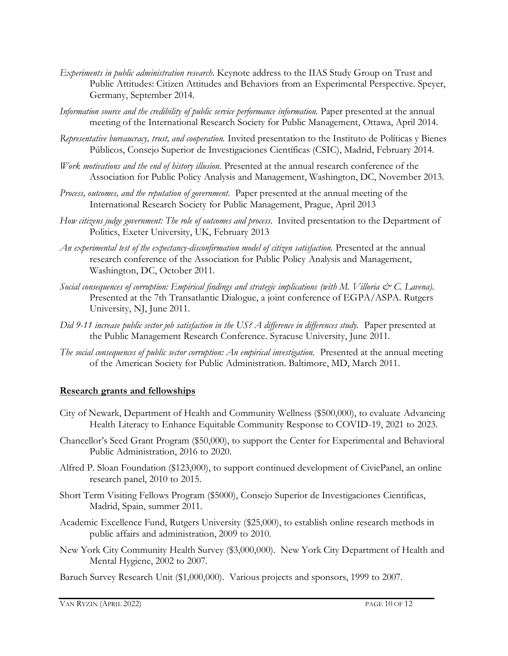- *Experiments in public administration research.* Keynote address to the IIAS Study Group on Trust and Public Attitudes: Citizen Attitudes and Behaviors from an Experimental Perspective. Speyer, Germany, September 2014.
- *Information source and the credibility of public service performance information*. Paper presented at the annual meeting of the International Research Society for Public Management, Ottawa, April 2014.
- *Representative bureaucracy, trust, and cooperation.* Invited presentation to the Instituto de Políticas y Bienes Públicos, Consejo Superior de Investigaciones Científicas (CSIC), Madrid, February 2014.
- *Work motivations and the end of history illusion.* Presented at the annual research conference of the Association for Public Policy Analysis and Management, Washington, DC, November 2013.
- *Process, outcomes, and the reputation of government.* Paper presented at the annual meeting of the International Research Society for Public Management, Prague, April 2013
- *How citizens judge government: The role of outcomes and process.* Invited presentation to the Department of Politics, Exeter University, UK, February 2013
- *An experimental test of the expectancy-disconfirmation model of citizen satisfaction.* Presented at the annual research conference of the Association for Public Policy Analysis and Management, Washington, DC, October 2011.
- *Social consequences of corruption: Empirical findings and strategic implications (with M. Villoria & C. Lavena).* Presented at the 7th Transatlantic Dialogue, a joint conference of EGPA/ASPA. Rutgers University, NJ, June 2011.
- *Did 9-11 increase public sector job satisfaction in the US? A difference in differences study.* Paper presented at the Public Management Research Conference. Syracuse University, June 2011.
- *The social consequences of public sector corruption: An empirical investigation.* Presented at the annual meeting of the American Society for Public Administration. Baltimore, MD, March 2011.

#### **Research grants and fellowships**

- City of Newark, Department of Health and Community Wellness (\$500,000), to evaluate Advancing Health Literacy to Enhance Equitable Community Response to COVID-19, 2021 to 2023.
- Chancellor's Seed Grant Program (\$50,000), to support the Center for Experimental and Behavioral Public Administration, 2016 to 2020.
- Alfred P. Sloan Foundation (\$123,000), to support continued development of CivicPanel, an online research panel, 2010 to 2015.
- Short Term Visiting Fellows Program (\$5000), Consejo Superior de Investigaciones Cientificas, Madrid, Spain, summer 2011.
- Academic Excellence Fund, Rutgers University (\$25,000), to establish online research methods in public affairs and administration, 2009 to 2010.
- New York City Community Health Survey (\$3,000,000). New York City Department of Health and Mental Hygiene, 2002 to 2007.
- Baruch Survey Research Unit (\$1,000,000). Various projects and sponsors, 1999 to 2007.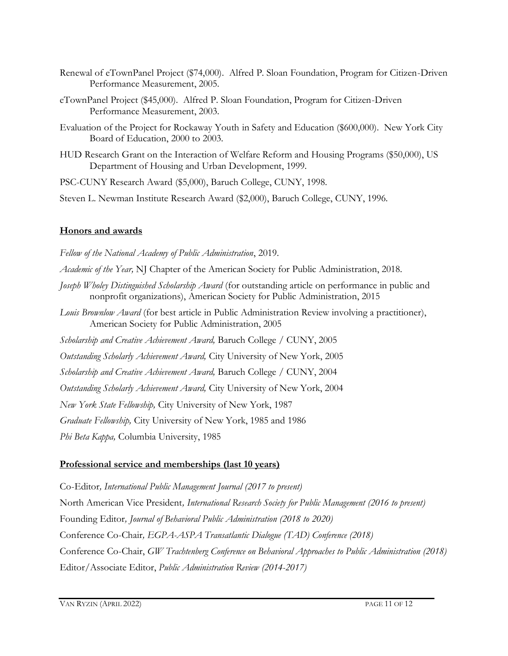- Renewal of eTownPanel Project (\$74,000). Alfred P. Sloan Foundation, Program for Citizen-Driven Performance Measurement, 2005.
- eTownPanel Project (\$45,000). Alfred P. Sloan Foundation, Program for Citizen-Driven Performance Measurement, 2003.
- Evaluation of the Project for Rockaway Youth in Safety and Education (\$600,000). New York City Board of Education, 2000 to 2003.
- HUD Research Grant on the Interaction of Welfare Reform and Housing Programs (\$50,000), US Department of Housing and Urban Development, 1999.

PSC-CUNY Research Award (\$5,000), Baruch College, CUNY, 1998.

Steven L. Newman Institute Research Award (\$2,000), Baruch College, CUNY, 1996.

## **Honors and awards**

*Fellow of the National Academy of Public Administration*, 2019. *Academic of the Year,* NJ Chapter of the American Society for Public Administration, 2018*. Joseph Wholey Distinguished Scholarship Award* (for outstanding article on performance in public and nonprofit organizations), American Society for Public Administration, 2015 *Louis Brownlow Award* (for best article in Public Administration Review involving a practitioner), American Society for Public Administration, 2005 *Scholarship and Creative Achievement Award,* Baruch College / CUNY, 2005 *Outstanding Scholarly Achievement Award,* City University of New York, 2005 *Scholarship and Creative Achievement Award,* Baruch College / CUNY, 2004 *Outstanding Scholarly Achievement Award,* City University of New York, 2004 *New York State Fellowship,* City University of New York, 1987 *Graduate Fellowship,* City University of New York, 1985 and 1986

*Phi Beta Kappa,* Columbia University, 1985

# **Professional service and memberships (last 10 years)**

Co-Editor*, International Public Management Journal (2017 to present)* North American Vice President*, International Research Society for Public Management (2016 to present)* Founding Editor*, Journal of Behavioral Public Administration (2018 to 2020)* Conference Co-Chair*, EGPA-ASPA Transatlantic Dialogue (TAD) Conference (2018)* Conference Co-Chair, *GW Trachtenberg Conference on Behavioral Approaches to Public Administration (2018)* Editor/Associate Editor, *Public Administration Review (2014-2017)*